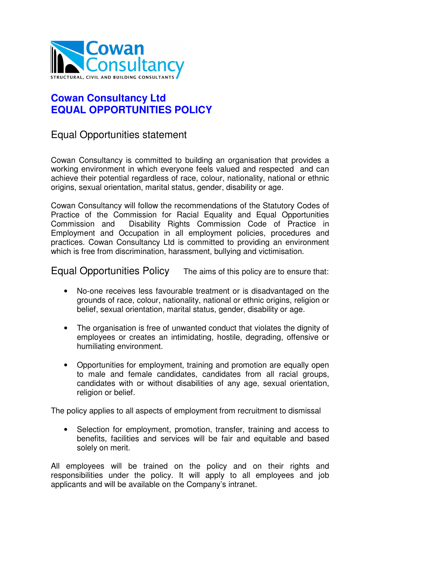

## **Cowan Consultancy Ltd EQUAL OPPORTUNITIES POLICY**

## Equal Opportunities statement

Cowan Consultancy is committed to building an organisation that provides a working environment in which everyone feels valued and respected and can achieve their potential regardless of race, colour, nationality, national or ethnic origins, sexual orientation, marital status, gender, disability or age.

Cowan Consultancy will follow the recommendations of the Statutory Codes of Practice of the Commission for Racial Equality and Equal Opportunities Commission and Disability Rights Commission Code of Practice in Employment and Occupation in all employment policies, procedures and practices. Cowan Consultancy Ltd is committed to providing an environment which is free from discrimination, harassment, bullying and victimisation.

Equal Opportunities Policy The aims of this policy are to ensure that:

- No-one receives less favourable treatment or is disadvantaged on the grounds of race, colour, nationality, national or ethnic origins, religion or belief, sexual orientation, marital status, gender, disability or age.
- The organisation is free of unwanted conduct that violates the dignity of employees or creates an intimidating, hostile, degrading, offensive or humiliating environment.
- Opportunities for employment, training and promotion are equally open to male and female candidates, candidates from all racial groups, candidates with or without disabilities of any age, sexual orientation, religion or belief.

The policy applies to all aspects of employment from recruitment to dismissal

• Selection for employment, promotion, transfer, training and access to benefits, facilities and services will be fair and equitable and based solely on merit.

All employees will be trained on the policy and on their rights and responsibilities under the policy. It will apply to all employees and job applicants and will be available on the Company's intranet.